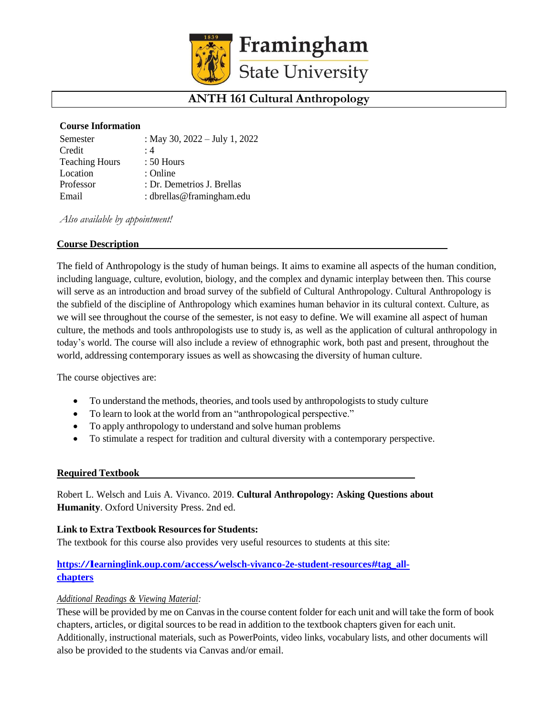

# **ANTH 161 Cultural Anthropology**

### **Course Information**

| Semester              | : May 30, $2022 - July 1, 2022$ |
|-----------------------|---------------------------------|
| Credit                | $\cdot$ 4                       |
| <b>Teaching Hours</b> | $: 50$ Hours                    |
| Location              | : Online                        |
| Professor             | : Dr. Demetrios J. Brellas      |
| Email                 | : dbrellas@framingham.edu       |

*Also available by appointment!*

## **Course Description**

The field of Anthropology is the study of human beings. It aims to examine all aspects of the human condition, including language, culture, evolution, biology, and the complex and dynamic interplay between then. This course will serve as an introduction and broad survey of the subfield of Cultural Anthropology. Cultural Anthropology is the subfield of the discipline of Anthropology which examines human behavior in its cultural context. Culture, as we will see throughout the course of the semester, is not easy to define. We will examine all aspect of human culture, the methods and tools anthropologists use to study is, as well as the application of cultural anthropology in today's world. The course will also include a review of ethnographic work, both past and present, throughout the world, addressing contemporary issues as well as showcasing the diversity of human culture.

The course objectives are:

- To understand the methods, theories, and tools used by anthropologists to study culture
- To learn to look at the world from an "anthropological perspective."
- To apply anthropology to understand and solve human problems
- To stimulate a respect for tradition and cultural diversity with a contemporary perspective.

### **Required Textbook**

Robert L. Welsch and Luis A. Vivanco. 2019. **Cultural Anthropology: Asking Questions about Humanity**. Oxford University Press. 2nd ed.

### **Link to Extra Textbook Resourcesfor Students:**

The textbook for this course also provides very useful resources to students at this site:

# **[https://learninglink.oup.com/access/welsch-vivanco-2e-student-resources#tag\\_all](https://learninglink.oup.com/access/welsch-vivanco-2e-student-resources#tag_all-chapters)[chapters](https://learninglink.oup.com/access/welsch-vivanco-2e-student-resources#tag_all-chapters)**

### *Additional Readings & Viewing Material:*

These will be provided by me on Canvasin the course content folder for each unit and will take the form of book chapters, articles, or digital sources to be read in addition to the textbook chapters given for each unit. Additionally, instructional materials, such as PowerPoints, video links, vocabulary lists, and other documents will also be provided to the students via Canvas and/or email.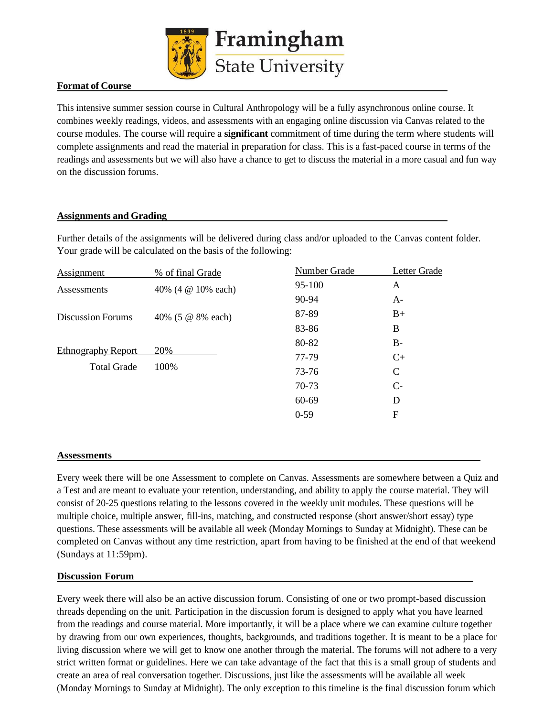

## **Format of Course**

This intensive summer session course in Cultural Anthropology will be a fully asynchronous online course. It combines weekly readings, videos, and assessments with an engaging online discussion via Canvas related to the course modules. The course will require a **significant** commitment of time during the term where students will complete assignments and read the material in preparation for class. This is a fast-paced course in terms of the readings and assessments but we will also have a chance to get to discuss the material in a more casual and fun way on the discussion forums.

## **Assignments and Grading**

Further details of the assignments will be delivered during class and/or uploaded to the Canvas content folder. Your grade will be calculated on the basis of the following:

| Assignment                | % of final Grade   | Number Grade | Letter Grade  |
|---------------------------|--------------------|--------------|---------------|
| Assessments               | 40% (4 @ 10% each) | 95-100       | A             |
|                           |                    | 90-94        | $A-$          |
| <b>Discussion Forums</b>  | 40% (5 @ 8% each)  | 87-89        | $B+$          |
|                           |                    | 83-86        | B             |
|                           |                    | 80-82        | $B-$          |
| <b>Ethnography Report</b> | 20%                | 77-79        | $C+$          |
| <b>Total Grade</b>        | 100%               | 73-76        | $\mathcal{C}$ |
|                           |                    | 70-73        | $C-$          |
|                           |                    | 60-69        | D             |
|                           |                    | $0 - 59$     | F             |
|                           |                    |              |               |

### **Assessments**

Every week there will be one Assessment to complete on Canvas. Assessments are somewhere between a Quiz and a Test and are meant to evaluate your retention, understanding, and ability to apply the course material. They will consist of 20-25 questions relating to the lessons covered in the weekly unit modules. These questions will be multiple choice, multiple answer, fill-ins, matching, and constructed response (short answer/short essay) type questions. These assessments will be available all week (Monday Mornings to Sunday at Midnight). These can be completed on Canvas without any time restriction, apart from having to be finished at the end of that weekend (Sundays at 11:59pm).

### **Discussion Forum**

Every week there will also be an active discussion forum. Consisting of one or two prompt-based discussion threads depending on the unit. Participation in the discussion forum is designed to apply what you have learned from the readings and course material. More importantly, it will be a place where we can examine culture together by drawing from our own experiences, thoughts, backgrounds, and traditions together. It is meant to be a place for living discussion where we will get to know one another through the material. The forums will not adhere to a very strict written format or guidelines. Here we can take advantage of the fact that this is a small group of students and create an area of real conversation together. Discussions, just like the assessments will be available all week (Monday Mornings to Sunday at Midnight). The only exception to this timeline is the final discussion forum which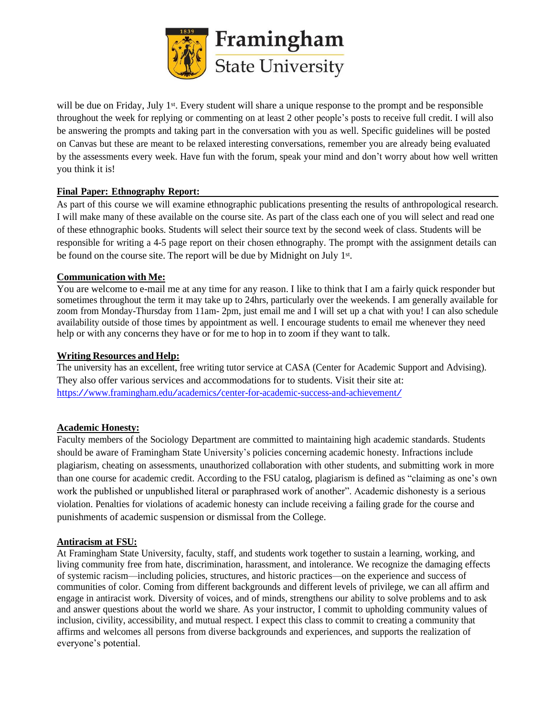

will be due on Friday, July 1<sup>st</sup>. Every student will share a unique response to the prompt and be responsible throughout the week for replying or commenting on at least 2 other people's posts to receive full credit. I will also be answering the prompts and taking part in the conversation with you as well. Specific guidelines will be posted on Canvas but these are meant to be relaxed interesting conversations, remember you are already being evaluated by the assessments every week. Have fun with the forum, speak your mind and don't worry about how well written you think it is!

## **Final Paper: Ethnography Report:**

As part of this course we will examine ethnographic publications presenting the results of anthropological research. I will make many of these available on the course site. As part of the class each one of you will select and read one of these ethnographic books. Students will select their source text by the second week of class. Students will be responsible for writing a 4-5 page report on their chosen ethnography. The prompt with the assignment details can be found on the course site. The report will be due by Midnight on July 1<sup>st</sup>.

## **Communication with Me:**

You are welcome to e-mail me at any time for any reason. I like to think that I am a fairly quick responder but sometimes throughout the term it may take up to 24hrs, particularly over the weekends. I am generally available for zoom from Monday-Thursday from 11am- 2pm, just email me and I will set up a chat with you! I can also schedule availability outside of those times by appointment as well. I encourage students to email me whenever they need help or with any concerns they have or for me to hop in to zoom if they want to talk.

## **Writing Resources and Help:**

The university has an excellent, free writing tutor service at CASA (Center for Academic Support and Advising). They also offer various services and accommodations for to students. Visit their site at: <https://www.framingham.edu/academics/center-for-academic-success-and-achievement/>

### **Academic Honesty:**

Faculty members of the Sociology Department are committed to maintaining high academic standards. Students should be aware of Framingham State University's policies concerning academic honesty. Infractions include plagiarism, cheating on assessments, unauthorized collaboration with other students, and submitting work in more than one course for academic credit. According to the FSU catalog, plagiarism is defined as "claiming as one's own work the published or unpublished literal or paraphrased work of another". Academic dishonesty is a serious violation. Penalties for violations of academic honesty can include receiving a failing grade for the course and punishments of academic suspension or dismissal from the College.

### **Antiracism at FSU:**

At Framingham State University, faculty, staff, and students work together to sustain a learning, working, and living community free from hate, discrimination, harassment, and intolerance. We recognize the damaging effects of systemic racism—including policies, structures, and historic practices—on the experience and success of communities of color. Coming from different backgrounds and different levels of privilege, we can all affirm and engage in antiracist work. Diversity of voices, and of minds, strengthens our ability to solve problems and to ask and answer questions about the world we share. As your instructor, I commit to upholding community values of inclusion, civility, accessibility, and mutual respect. I expect this class to commit to creating a community that affirms and welcomes all persons from diverse backgrounds and experiences, and supports the realization of everyone's potential.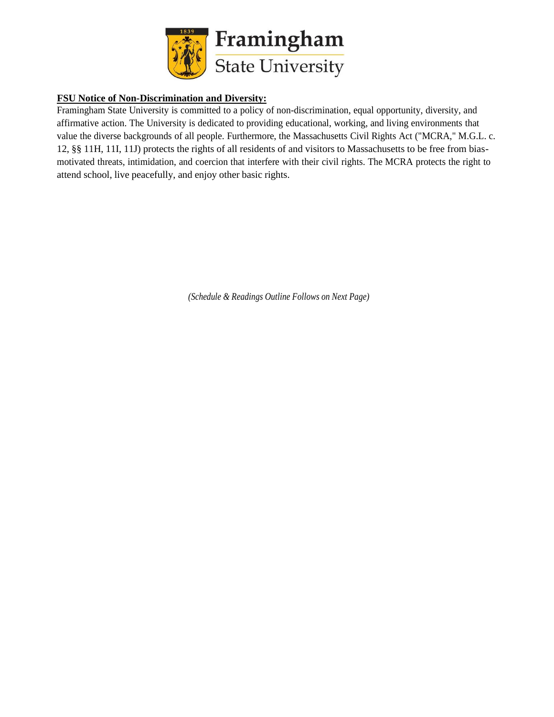

# **FSU Notice of Non-Discrimination and Diversity:**

Framingham State University is committed to a policy of non-discrimination, equal opportunity, diversity, and affirmative action. The University is dedicated to providing educational, working, and living environments that value the diverse backgrounds of all people. Furthermore, the Massachusetts Civil Rights Act ("MCRA," M.G.L. c. 12, §§ 11H, 11I, 11J) protects the rights of all residents of and visitors to Massachusetts to be free from biasmotivated threats, intimidation, and coercion that interfere with their civil rights. The MCRA protects the right to attend school, live peacefully, and enjoy other basic rights.

*(Schedule & Readings Outline Follows on Next Page)*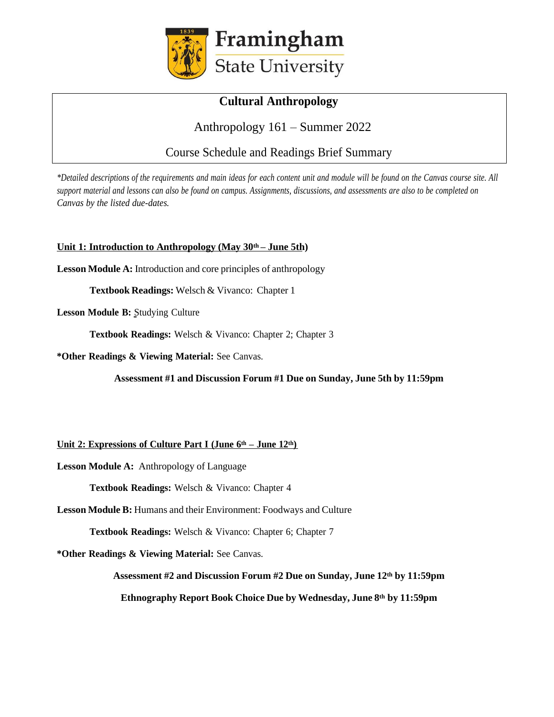

# **Cultural Anthropology**

# Anthropology 161 – Summer 2022

Course Schedule and Readings Brief Summary

\*Detailed descriptions of the requirements and main ideas for each content unit and module will be found on the Canvas course site. All support material and lessons can also be found on campus. Assignments, discussions, and assessments are also to be completed on *Canvas by the listed due-dates.*

## **Unit 1: Introduction to Anthropology (May 30th – June 5th)**

**Lesson Module A:** Introduction and core principles of anthropology

**Textbook Readings:** Welsch & Vivanco: Chapter 1

**Lesson Module B:** Studying Culture

**Textbook Readings:** Welsch & Vivanco: Chapter 2; Chapter 3

**\*Other Readings & Viewing Material:** See Canvas.

**Assessment #1 and Discussion Forum #1 Due on Sunday, June 5th by 11:59pm**

## **Unit 2: Expressions of Culture Part I (June 6th – June 12th)**

**Lesson Module A:** Anthropology of Language

**Textbook Readings:** Welsch & Vivanco: Chapter 4

**Lesson Module B:** Humans and their Environment: Foodways and Culture

**Textbook Readings:** Welsch & Vivanco: Chapter 6; Chapter 7

**\*Other Readings & Viewing Material:** See Canvas.

**Assessment #2 and Discussion Forum #2 Due on Sunday, June 12th by 11:59pm Ethnography Report Book Choice Due by Wednesday, June 8th by 11:59pm**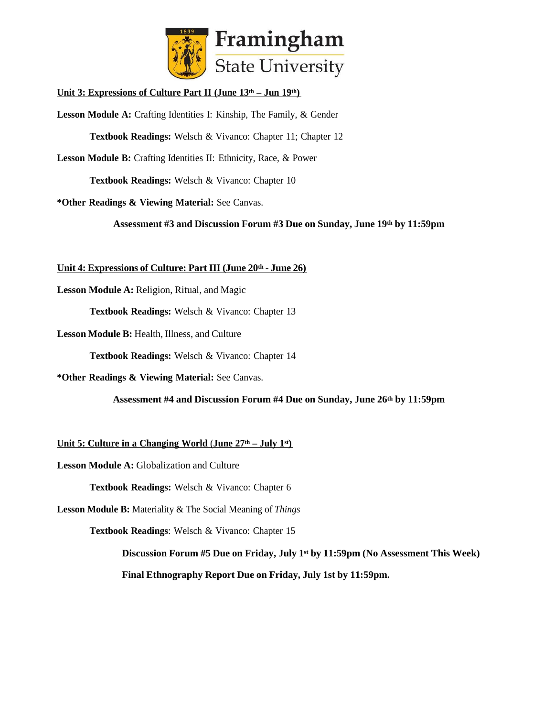

**Unit 3: Expressions of Culture Part II (June 13th – Jun 19th)**

**Lesson Module A:** Crafting Identities I: Kinship, The Family, & Gender

**Textbook Readings:** Welsch & Vivanco: Chapter 11; Chapter 12

**Lesson Module B:** Crafting Identities II: Ethnicity, Race, & Power

**Textbook Readings:** Welsch & Vivanco: Chapter 10

**\*Other Readings & Viewing Material:** See Canvas.

**Assessment #3 and Discussion Forum #3 Due on Sunday, June 19th by 11:59pm**

#### **Unit 4: Expressions of Culture: Part III (June 20th - June 26)**

**Lesson Module A:** Religion, Ritual, and Magic

**Textbook Readings:** Welsch & Vivanco: Chapter 13

**Lesson Module B:** Health, Illness, and Culture

**Textbook Readings:** Welsch & Vivanco: Chapter 14

**\*Other Readings & Viewing Material:** See Canvas.

**Assessment #4 and Discussion Forum #4 Due on Sunday, June 26th by 11:59pm**

**<u>Unit 5: Culture in a Changing World (June**  $27$ **<sup>th</sup> – July 1<sup>st</sup>)**</u>

**Lesson Module A:** Globalization and Culture

**Textbook Readings:** Welsch & Vivanco: Chapter 6

**Lesson Module B:** Materiality & The Social Meaning of *Things*

**Textbook Readings**: Welsch & Vivanco: Chapter 15

**Discussion Forum #5 Due on Friday, July 1st by 11:59pm (No Assessment This Week)**

**Final Ethnography Report Due on Friday, July 1st by 11:59pm.**